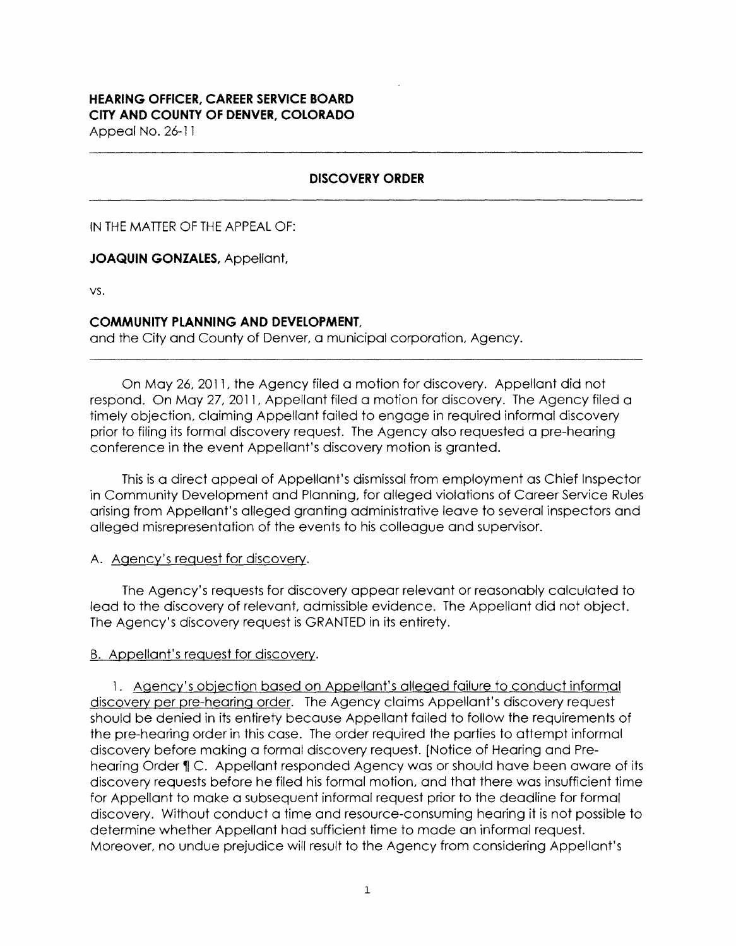# **HEARING OFFICER, CAREER SERVICE BOARD CITY AND COUNTY Of DENVER, COLORADO**

Appeal No. 26-11

### **DISCOVERY ORDER**

IN THE MATTER OF THE APPEAL OF:

#### **JOAQUIN GONZALES,** Appellant,

VS.

#### **COMMUNITY PLANNING AND DEVELOPMENT,**

and the City and County of Denver, a municipal corporation, Agency.

On May 26, 2011, the Agency filed a motion for discovery. Appellant did not respond. On May 27, 2011, Appellant filed a motion for discovery. The Agency filed a timely objection, claiming Appellant failed to engage in required informal discovery prior to filing its formal discovery request. The Agency also requested a pre-hearing conference in the event Appellant's discovery motion is granted.

This is a direct appeal of Appellant's dismissal from employment as Chief Inspector in Community Development and Planning, for alleged violations of Career Service Rules arising from Appellant's alleged granting administrative leave to several inspectors and alleged misrepresentation of the events to his colleague and supervisor.

## A. Agency's request for discovery.

The Agency's requests for discovery appear relevant or reasonably calculated to lead to the discovery of relevant, admissible evidence. The Appellant did not object. The Agency's discovery request is GRANTED in its entirety.

#### B. Appellant's request for discovery.

1. Agency's obiection based on Appellant's alleged failure to conduct informal discovery per pre-hearing order. The Agency claims Appellant's discovery request should be denied in its entirety because Appellant failed to follow the requirements of the pre-hearing order in this case. The order required the parties to attempt informal discovery before making a formal discovery request. [Notice of Hearing and Prehearing Order **11** C. Appellant responded Agency was or should have been aware of its discovery requests before he filed his formal motion, and that there was insufficient time for Appellant to make a subsequent informal request prior to the deadline for formal discovery. Without conduct a time and resource-consuming hearing it is not possible to determine whether Appellant had sufficient time to made an informal request. Moreover, no undue prejudice will result to the Agency from considering Appellant's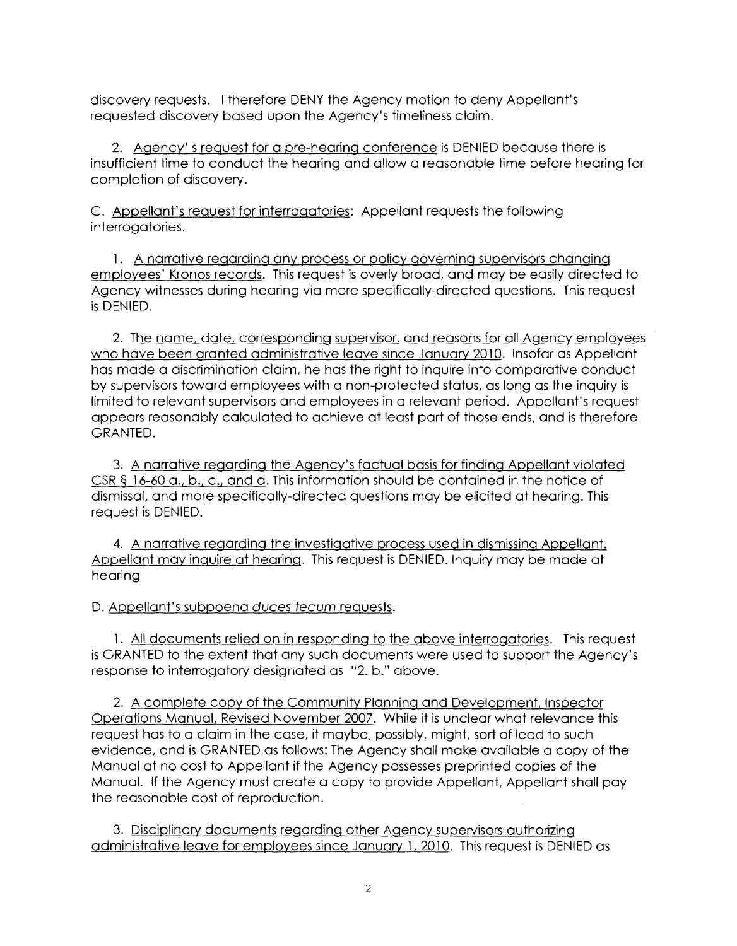discovery requests. I therefore DENY the Agency motion to deny Appellant's requested discovery based upon the Agency's timeliness claim.

2. Agency' s request for a pre-hearing conference is DENIED because there is insufficient time to conduct the hearing and allow a reasonable time before hearing for completion of discovery.

C. Appellant's request for interrogatories: Appellant requests the following interrogatories.

1. A narrative regarding any process or policy governing supervisors changing employees' Kronos records. This request is overly broad, and may be easily directed to Agency witnesses during hearing via more specifically-directed questions. This request is DENIED.

2. The name, date, corresponding supervisor, and reasons for all Agency employees who have been granted administrative leave since January 2010. Insofar as Appellant has made a discrimination claim, he has the right to inquire into comparative conduct by supervisors toward employees with a non-protected status, as long as the inquiry is limited to relevant supervisors and employees in a relevant period. Appellant's request appears reasonably calculated to achieve at least part of those ends, and is therefore GRANTED.

3. A narrative regarding the Agency's factual basis for finding Appellant violated CSR § 16-60 a., b., c., and d. This information should be contained in the notice of dismissal, and more specifically-directed questions may be elicited at hearing. This request is DENIED.

**4.** A narrative regarding the investigative process used in dismissing Appellant. Appellant may inquire at hearing. This request is DENIED. Inquiry may be made at hearing

D. Appellant's subpoena duces tecum requests.

l. All documents relied on in responding to the above interrogatories. This request is GRANTED to the extent that any such documents were used to support the Agency's response to interrogatory designated as "2. b." above.

2. A complete copy of the Community Planning and Development, Inspector Operations Manual, Revised November 2007. While it is unclear what relevance this request has to a claim in the case, it maybe, possibly, might, sort of lead to such evidence, and is GRANTED as follows: The Agency shall make available a copy of the Manual at no cost to Appellant if the Agency possesses preprinted copies of the Manual. If the Agency must create a copy to provide Appellant, Appellant shall pay the reasonable cost of reproduction.

3. Disciplinary documents regarding other Agency supervisors authorizing administrative leave for employees since January l, 2010. This request is DENIED as